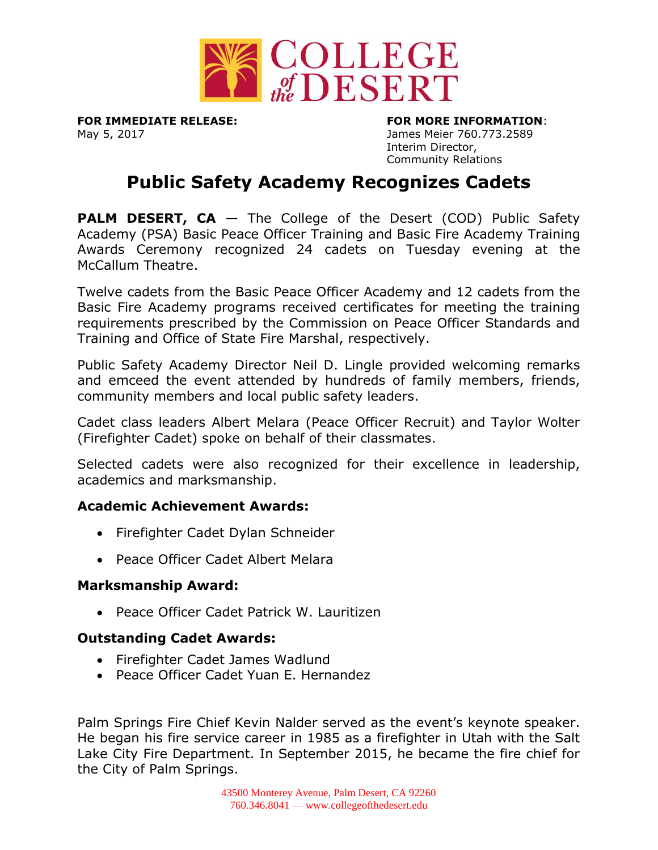

May 5, 2017 James Meier 760.773.2589

**FOR IMMEDIATE RELEASE: FOR MORE INFORMATION**: Interim Director, Community Relations

# **Public Safety Academy Recognizes Cadets**

**PALM DESERT, CA**  $-$  The College of the Desert (COD) Public Safety Academy (PSA) Basic Peace Officer Training and Basic Fire Academy Training Awards Ceremony recognized 24 cadets on Tuesday evening at the McCallum Theatre.

Twelve cadets from the Basic Peace Officer Academy and 12 cadets from the Basic Fire Academy programs received certificates for meeting the training requirements prescribed by the Commission on Peace Officer Standards and Training and Office of State Fire Marshal, respectively.

Public Safety Academy Director Neil D. Lingle provided welcoming remarks and emceed the event attended by hundreds of family members, friends, community members and local public safety leaders.

Cadet class leaders Albert Melara (Peace Officer Recruit) and Taylor Wolter (Firefighter Cadet) spoke on behalf of their classmates.

Selected cadets were also recognized for their excellence in leadership, academics and marksmanship.

### **Academic Achievement Awards:**

- Firefighter Cadet Dylan Schneider
- Peace Officer Cadet Albert Melara

### **Marksmanship Award:**

Peace Officer Cadet Patrick W. Lauritizen

## **Outstanding Cadet Awards:**

- Firefighter Cadet James Wadlund
- Peace Officer Cadet Yuan E. Hernandez

Palm Springs Fire Chief Kevin Nalder served as the event's keynote speaker. He began his fire service career in 1985 as a firefighter in Utah with the Salt Lake City Fire Department. In September 2015, he became the fire chief for the City of Palm Springs.